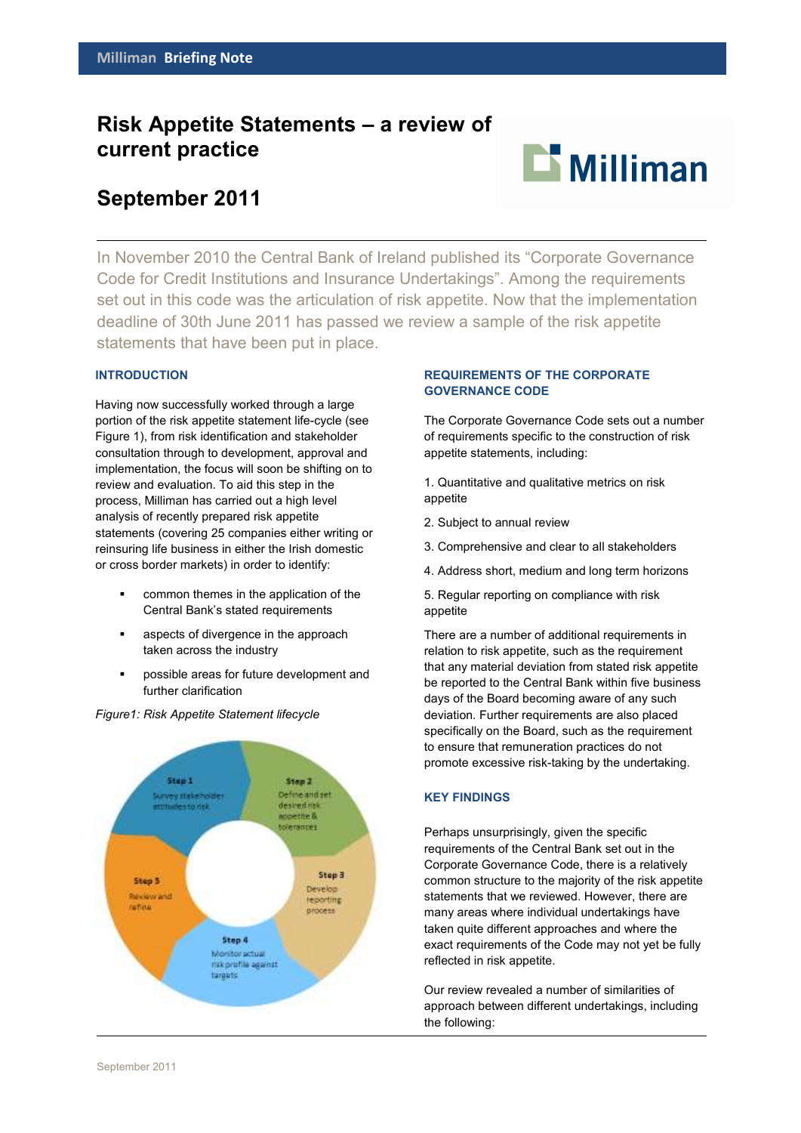# **Risk Appetite Statements – a review of current practice**



# **September 2011**

In November 2010 the Central Bank of Ireland published its "Corporate Governance Code for Credit Institutions and Insurance Undertakings". Among the requirements set out in this code was the articulation of risk appetite. Now that the implementation deadline of 30th June 2011 has passed we review a sample of the risk appetite statements that have been put in place.

## **INTRODUCTION**

Having now successfully worked through a large portion of the risk appetite statement life-cycle (see Figure 1), from risk identification and stakeholder consultation through to development, approval and implementation, the focus will soon be shifting on to review and evaluation. To aid this step in the process, Milliman has carried out a high level analysis of recently prepared risk appetite statements (covering 25 companies either writing or reinsuring life business in either the Irish domestic or cross border markets) in order to identify:

- common themes in the application of the Central Bank's stated requirements
- aspects of divergence in the approach taken across the industry
- possible areas for future development and further clarification



#### *Figure1: Risk Appetite Statement lifecycle*

## **REQUIREMENTS OF THE CORPORATE GOVERNANCE CODE**

The Corporate Governance Code sets out a number of requirements specific to the construction of risk appetite statements, including:

1. Quantitative and qualitative metrics on risk appetite

- 2. Subject to annual review
- 3. Comprehensive and clear to all stakeholders
- 4. Address short, medium and long term horizons
- 5. Regular reporting on compliance with risk appetite

There are a number of additional requirements in relation to risk appetite, such as the requirement that any material deviation from stated risk appetite be reported to the Central Bank within five business days of the Board becoming aware of any such deviation. Further requirements are also placed specifically on the Board, such as the requirement to ensure that remuneration practices do not promote excessive risk-taking by the undertaking.

#### **KEY FINDINGS**

Perhaps unsurprisingly, given the specific requirements of the Central Bank set out in the Corporate Governance Code, there is a relatively common structure to the majority of the risk appetite statements that we reviewed. However, there are many areas where individual undertakings have taken quite different approaches and where the exact requirements of the Code may not yet be fully reflected in risk appetite.

Our review revealed a number of similarities of approach between different undertakings, including the following: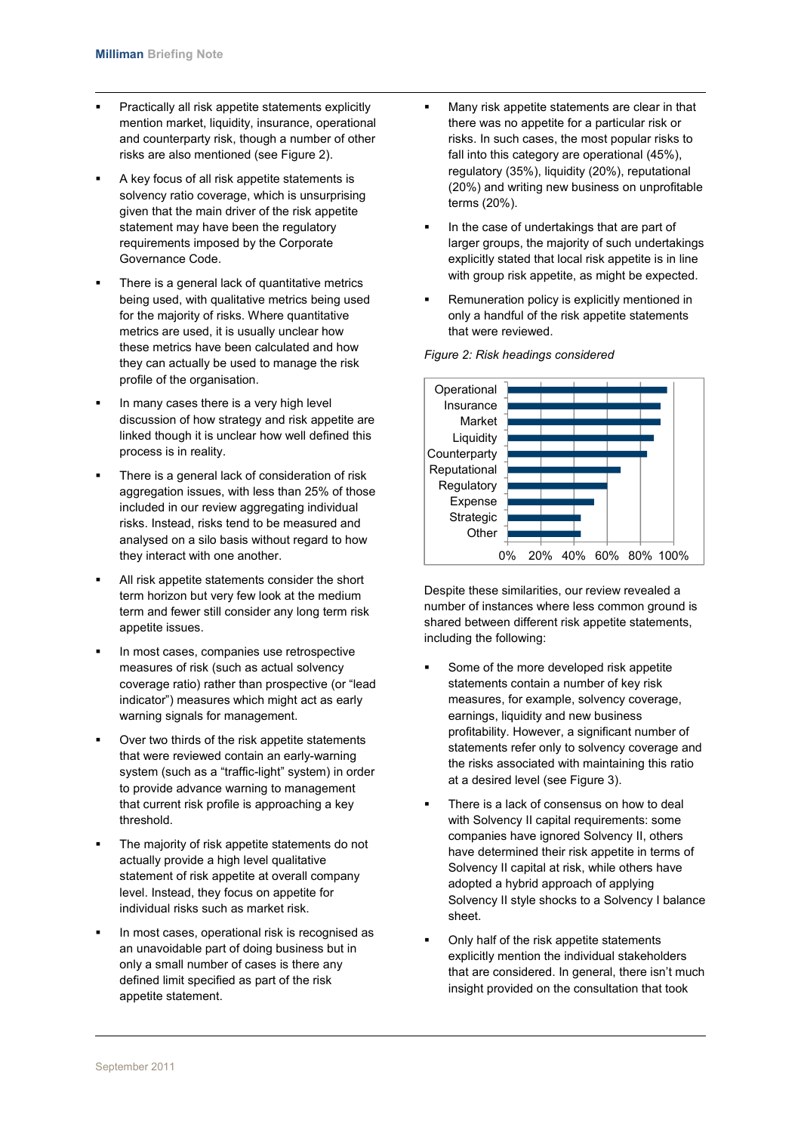- Practically all risk appetite statements explicitly mention market, liquidity, insurance, operational and counterparty risk, though a number of other risks are also mentioned (see Figure 2).
- A key focus of all risk appetite statements is solvency ratio coverage, which is unsurprising given that the main driver of the risk appetite statement may have been the regulatory requirements imposed by the Corporate Governance Code.
- There is a general lack of quantitative metrics being used, with qualitative metrics being used for the majority of risks. Where quantitative metrics are used, it is usually unclear how these metrics have been calculated and how they can actually be used to manage the risk profile of the organisation.
- In many cases there is a very high level discussion of how strategy and risk appetite are linked though it is unclear how well defined this process is in reality.
- There is a general lack of consideration of risk aggregation issues, with less than 25% of those included in our review aggregating individual risks. Instead, risks tend to be measured and analysed on a silo basis without regard to how they interact with one another.
- All risk appetite statements consider the short term horizon but very few look at the medium term and fewer still consider any long term risk appetite issues.
- In most cases, companies use retrospective measures of risk (such as actual solvency coverage ratio) rather than prospective (or "lead indicator") measures which might act as early warning signals for management.
- Over two thirds of the risk appetite statements that were reviewed contain an early-warning system (such as a "traffic-light" system) in order to provide advance warning to management that current risk profile is approaching a key threshold.
- The majority of risk appetite statements do not actually provide a high level qualitative statement of risk appetite at overall company level. Instead, they focus on appetite for individual risks such as market risk.
- In most cases, operational risk is recognised as an unavoidable part of doing business but in only a small number of cases is there any defined limit specified as part of the risk appetite statement.
- Many risk appetite statements are clear in that there was no appetite for a particular risk or risks. In such cases, the most popular risks to fall into this category are operational (45%), regulatory (35%), liquidity (20%), reputational (20%) and writing new business on unprofitable terms (20%).
- In the case of undertakings that are part of larger groups, the majority of such undertakings explicitly stated that local risk appetite is in line with group risk appetite, as might be expected.
- Remuneration policy is explicitly mentioned in only a handful of the risk appetite statements that were reviewed.



*Figure 2: Risk headings considered* 

Despite these similarities, our review revealed a number of instances where less common ground is shared between different risk appetite statements, including the following:

- Some of the more developed risk appetite statements contain a number of key risk measures, for example, solvency coverage, earnings, liquidity and new business profitability. However, a significant number of statements refer only to solvency coverage and the risks associated with maintaining this ratio at a desired level (see Figure 3).
- There is a lack of consensus on how to deal with Solvency II capital requirements: some companies have ignored Solvency II, others have determined their risk appetite in terms of Solvency II capital at risk, while others have adopted a hybrid approach of applying Solvency II style shocks to a Solvency I balance sheet.
- Only half of the risk appetite statements explicitly mention the individual stakeholders that are considered. In general, there isn't much insight provided on the consultation that took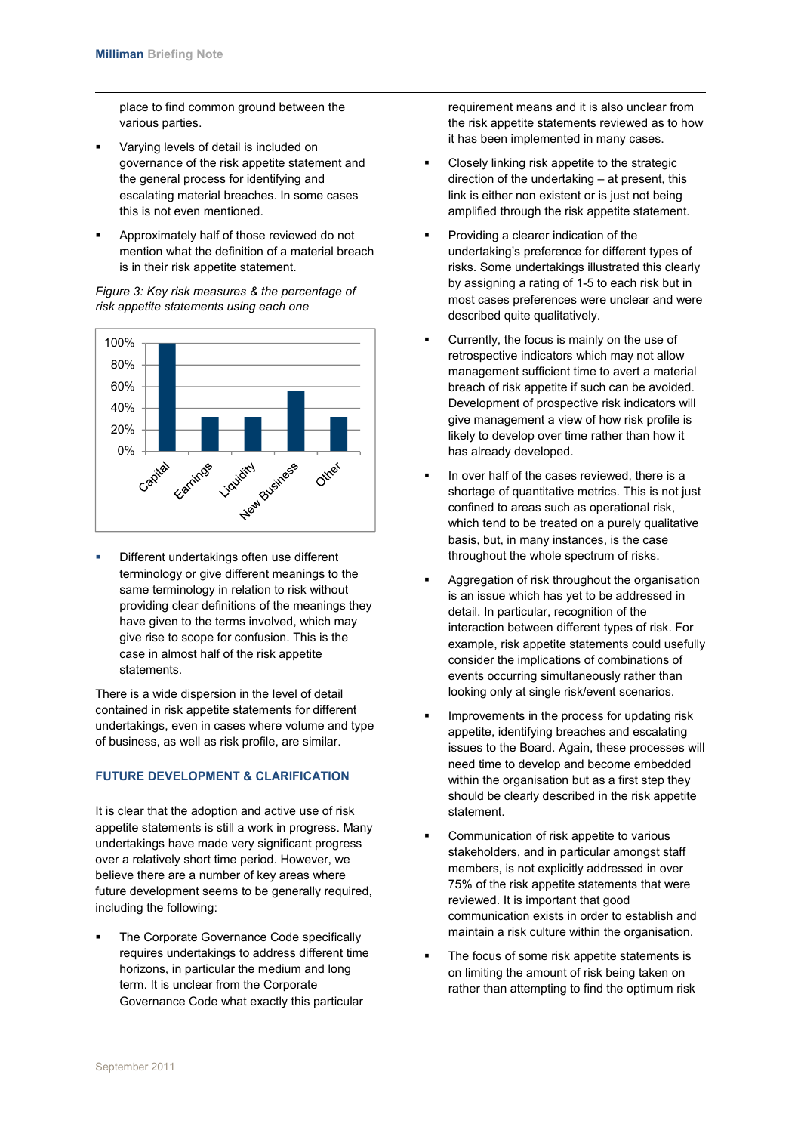place to find common ground between the various parties.

- Varying levels of detail is included on governance of the risk appetite statement and the general process for identifying and escalating material breaches. In some cases this is not even mentioned.
- Approximately half of those reviewed do not mention what the definition of a material breach is in their risk appetite statement.



*Figure 3: Key risk measures & the percentage of risk appetite statements using each one* 

 Different undertakings often use different terminology or give different meanings to the same terminology in relation to risk without providing clear definitions of the meanings they have given to the terms involved, which may give rise to scope for confusion. This is the case in almost half of the risk appetite statements.

There is a wide dispersion in the level of detail contained in risk appetite statements for different undertakings, even in cases where volume and type of business, as well as risk profile, are similar.

## **FUTURE DEVELOPMENT & CLARIFICATION**

It is clear that the adoption and active use of risk appetite statements is still a work in progress. Many undertakings have made very significant progress over a relatively short time period. However, we believe there are a number of key areas where future development seems to be generally required, including the following:

 The Corporate Governance Code specifically requires undertakings to address different time horizons, in particular the medium and long term. It is unclear from the Corporate Governance Code what exactly this particular

requirement means and it is also unclear from the risk appetite statements reviewed as to how it has been implemented in many cases.

- Closely linking risk appetite to the strategic direction of the undertaking – at present, this link is either non existent or is just not being amplified through the risk appetite statement.
- Providing a clearer indication of the undertaking's preference for different types of risks. Some undertakings illustrated this clearly by assigning a rating of 1-5 to each risk but in most cases preferences were unclear and were described quite qualitatively.
- Currently, the focus is mainly on the use of retrospective indicators which may not allow management sufficient time to avert a material breach of risk appetite if such can be avoided. Development of prospective risk indicators will give management a view of how risk profile is likely to develop over time rather than how it has already developed.
- In over half of the cases reviewed, there is a shortage of quantitative metrics. This is not just confined to areas such as operational risk, which tend to be treated on a purely qualitative basis, but, in many instances, is the case throughout the whole spectrum of risks.
- Aggregation of risk throughout the organisation is an issue which has yet to be addressed in detail. In particular, recognition of the interaction between different types of risk. For example, risk appetite statements could usefully consider the implications of combinations of events occurring simultaneously rather than looking only at single risk/event scenarios.
- Improvements in the process for updating risk appetite, identifying breaches and escalating issues to the Board. Again, these processes will need time to develop and become embedded within the organisation but as a first step they should be clearly described in the risk appetite statement.
- Communication of risk appetite to various stakeholders, and in particular amongst staff members, is not explicitly addressed in over 75% of the risk appetite statements that were reviewed. It is important that good communication exists in order to establish and maintain a risk culture within the organisation.
- The focus of some risk appetite statements is on limiting the amount of risk being taken on rather than attempting to find the optimum risk